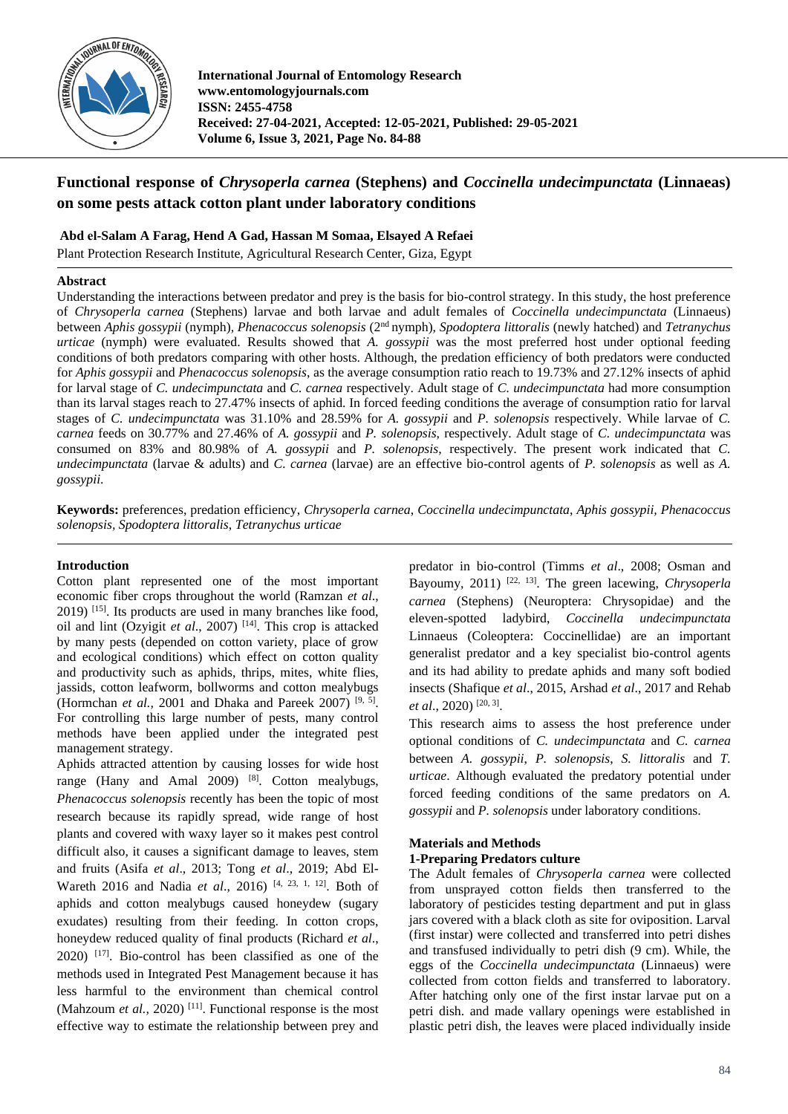

**International Journal of Entomology Research www.entomologyjournals.com ISSN: 2455-4758 Received: 27-04-2021, Accepted: 12-05-2021, Published: 29-05-2021 Volume 6, Issue 3, 2021, Page No. 84-88**

# **Functional response of** *Chrysoperla carnea* **(Stephens) and** *Coccinella undecimpunctata* **(Linnaeas) on some pests attack cotton plant under laboratory conditions**

# **Abd el-Salam A Farag, Hend A Gad, Hassan M Somaa, Elsayed A Refaei**

Plant Protection Research Institute, Agricultural Research Center, Giza, Egypt

# **Abstract**

Understanding the interactions between predator and prey is the basis for bio-control strategy. In this study, the host preference of *Chrysoperla carnea* (Stephens) larvae and both larvae and adult females of *Coccinella undecimpunctata* (Linnaeus) between *Aphis gossypii* (nymph)*, Phenacoccus solenopsis* (2nd nymph)*, Spodoptera littoralis* (newly hatched) and *Tetranychus urticae* (nymph) were evaluated. Results showed that *A. gossypii* was the most preferred host under optional feeding conditions of both predators comparing with other hosts. Although, the predation efficiency of both predators were conducted for *Aphis gossypii* and *Phenacoccus solenopsis*, as the average consumption ratio reach to 19.73% and 27.12% insects of aphid for larval stage of *C. undecimpunctata* and *C. carnea* respectively. Adult stage of *C. undecimpunctata* had more consumption than its larval stages reach to 27.47% insects of aphid. In forced feeding conditions the average of consumption ratio for larval stages of *C. undecimpunctata* was 31.10% and 28.59% for *A. gossypii* and *P. solenopsis* respectively. While larvae of *C. carnea* feeds on 30.77% and 27.46% of *A. gossypii* and *P. solenopsis,* respectively. Adult stage of *C. undecimpunctata* was consumed on 83% and 80.98% of *A. gossypii* and *P. solenopsis,* respectively. The present work indicated that *C. undecimpunctata* (larvae & adults) and *C. carnea* (larvae) are an effective bio-control agents of *P. solenopsis* as well as *A. gossypii*.

**Keywords:** preferences, predation efficiency, *Chrysoperla carnea*, *Coccinella undecimpunctata*, *Aphis gossypii, Phenacoccus solenopsis, Spodoptera littoralis*, *Tetranychus urticae*

# **Introduction**

Cotton plant represented one of the most important economic fiber crops throughout the world (Ramzan *et al*., 2019) [15]. Its products are used in many branches like food, oil and lint (Ozyigit *et al*., 2007) [14]. This crop is attacked by many pests (depended on cotton variety, place of grow and ecological conditions) which effect on cotton quality and productivity such as aphids, thrips, mites, white flies, jassids, cotton leafworm, bollworms and cotton mealybugs (Hormchan *et al.*, 2001 and Dhaka and Pareek 2007)<sup>[9, 5]</sup>. For controlling this large number of pests, many control methods have been applied under the integrated pest management strategy.

Aphids attracted attention by causing losses for wide host range (Hany and Amal 2009) [8]. Cotton mealybugs, *Phenacoccus solenopsis* recently has been the topic of most research because its rapidly spread, wide range of host plants and covered with waxy layer so it makes pest control difficult also, it causes a significant damage to leaves, stem and fruits (Asifa *et al*., 2013; Tong *et al*., 2019; Abd El-Wareth 2016 and Nadia *et al*., 2016) [4, 23, 1, 12]. Both of aphids and cotton mealybugs caused honeydew (sugary exudates) resulting from their feeding. In cotton crops, honeydew reduced quality of final products (Richard *et al*.,  $2020$ )  $[17]$ . Bio-control has been classified as one of the methods used in Integrated Pest Management because it has less harmful to the environment than chemical control (Mahzoum *et al.*, 2020)<sup>[11]</sup>. Functional response is the most effective way to estimate the relationship between prey and

predator in bio-control (Timms *et al*., 2008; Osman and Bayoumy, 2011) [22, 13]. The green lacewing, *Chrysoperla carnea* (Stephens) (Neuroptera: Chrysopidae) and the eleven-spotted ladybird, *Coccinella undecimpunctata* Linnaeus (Coleoptera: Coccinellidae) are an important generalist predator and a key specialist bio-control agents and its had ability to predate aphids and many soft bodied insects (Shafique *et al*., 2015, Arshad *et al*., 2017 and Rehab et al., 2020)<sup>[20, 3]</sup>.

This research aims to assess the host preference under optional conditions of *C. undecimpunctata* and *C. carnea* between *A. gossypii*, *P. solenopsis*, *S. littoralis* and *T. urticae*. Although evaluated the predatory potential under forced feeding conditions of the same predators on *A. gossypii* and *P. solenopsis* under laboratory conditions.

# **Materials and Methods**

# **1-Preparing Predators culture**

The Adult females of *Chrysoperla carnea* were collected from unsprayed cotton fields then transferred to the laboratory of pesticides testing department and put in glass jars covered with a black cloth as site for oviposition. Larval (first instar) were collected and transferred into petri dishes and transfused individually to petri dish (9 cm). While, the eggs of the *Coccinella undecimpunctata* (Linnaeus) were collected from cotton fields and transferred to laboratory. After hatching only one of the first instar larvae put on a petri dish. and made vallary openings were established in plastic petri dish, the leaves were placed individually inside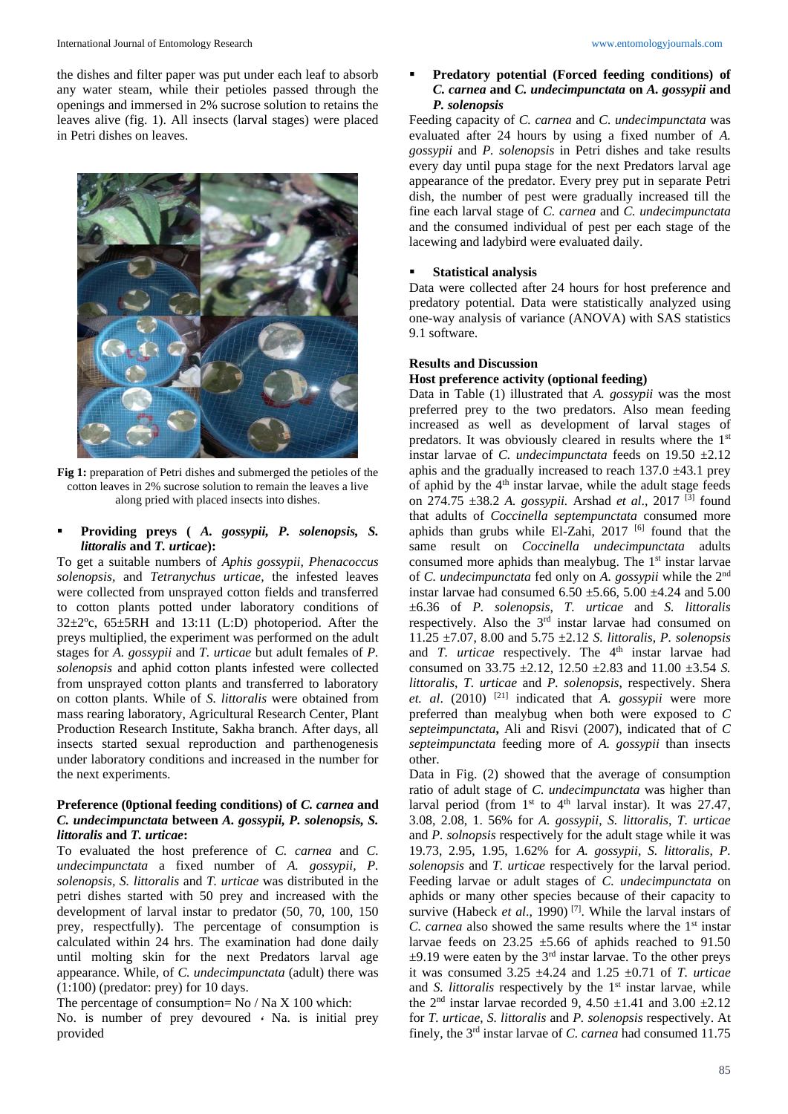#### International Journal of Entomology Research www.entomologyjournals.com

the dishes and filter paper was put under each leaf to absorb any water steam, while their petioles passed through the openings and immersed in 2% sucrose solution to retains the leaves alive (fig. 1). All insects (larval stages) were placed in Petri dishes on leaves.



**Fig 1:** preparation of Petri dishes and submerged the petioles of the cotton leaves in 2% sucrose solution to remain the leaves a live along pried with placed insects into dishes.

# ▪ **Providing preys (** *A. gossypii, P. solenopsis, S. littoralis* **and** *T. urticae***):**

To get a suitable numbers of *Aphis gossypii, Phenacoccus solenopsis,* and *Tetranychus urticae,* the infested leaves were collected from unsprayed cotton fields and transferred to cotton plants potted under laboratory conditions of  $32\pm2^{\circ}$ c,  $65\pm5RH$  and 13:11 (L:D) photoperiod. After the preys multiplied, the experiment was performed on the adult stages for *A. gossypii* and *T. urticae* but adult females of *P. solenopsis* and aphid cotton plants infested were collected from unsprayed cotton plants and transferred to laboratory on cotton plants. While of *S. littoralis* were obtained from mass rearing laboratory, Agricultural Research Center, Plant Production Research Institute, Sakha branch. After days, all insects started sexual reproduction and parthenogenesis under laboratory conditions and increased in the number for the next experiments.

#### **Preference (0ptional feeding conditions) of** *C. carnea* **and**  *C. undecimpunctata* **between** *A. gossypii, P. solenopsis, S. littoralis* **and** *T. urticae***:**

To evaluated the host preference of *C. carnea* and *C. undecimpunctata* a fixed number of *A. gossypii, P. solenopsis, S. littoralis* and *T. urticae* was distributed in the petri dishes started with 50 prey and increased with the development of larval instar to predator (50, 70, 100, 150 prey, respectfully). The percentage of consumption is calculated within 24 hrs. The examination had done daily until molting skin for the next Predators larval age appearance. While, of *C. undecimpunctata* (adult) there was (1:100) (predator: prey) for 10 days.

The percentage of consumption= No / Na X 100 which:

No. is number of prey devoured **،** Na. is initial prey provided

#### ▪ **Predatory potential (Forced feeding conditions) of** *C. carnea* **and** *C. undecimpunctata* **on** *A. gossypii* **and** *P. solenopsis*

Feeding capacity of *C. carnea* and *C. undecimpunctata* was evaluated after 24 hours by using a fixed number of *A. gossypii* and *P. solenopsis* in Petri dishes and take results every day until pupa stage for the next Predators larval age appearance of the predator. Every prey put in separate Petri dish, the number of pest were gradually increased till the fine each larval stage of *C. carnea* and *C. undecimpunctata* and the consumed individual of pest per each stage of the lacewing and ladybird were evaluated daily.

### **Statistical analysis**

Data were collected after 24 hours for host preference and predatory potential. Data were statistically analyzed using one-way analysis of variance (ANOVA) with SAS statistics 9.1 software.

#### **Results and Discussion**

#### **Host preference activity (optional feeding)**

Data in Table (1) illustrated that *A. gossypii* was the most preferred prey to the two predators. Also mean feeding increased as well as development of larval stages of predators. It was obviously cleared in results where the 1<sup>st</sup> instar larvae of *C. undecimpunctata* feeds on 19.50 ±2.12 aphis and the gradually increased to reach  $137.0 \pm 43.1$  prey of aphid by the  $4<sup>th</sup>$  instar larvae, while the adult stage feeds on 274.75 ±38.2 *A. gossypii.* Arshad *et al*., 2017 [3] found that adults of *Coccinella septempunctata* consumed more aphids than grubs while El-Zahi,  $2017$ <sup>[6]</sup> found that the same result on *Coccinella undecimpunctata* adults consumed more aphids than mealybug. The 1<sup>st</sup> instar larvae of *C. undecimpunctata* fed only on *A. gossypii* while the 2nd instar larvae had consumed  $6.50 \pm 5.66$ ,  $5.00 \pm 4.24$  and  $5.00$ ±6.36 of *P. solenopsis*, *T. urticae* and *S. littoralis* respectively. Also the 3rd instar larvae had consumed on 11.25 ±7.07, 8.00 and 5.75 ±2.12 *S. littoralis*, *P. solenopsis* and *T. urticae* respectively. The 4<sup>th</sup> instar larvae had consumed on 33.75 ±2.12, 12.50 ±2.83 and 11.00 ±3.54 *S. littoralis*, *T. urticae* and *P. solenopsis*, respectively. Shera *et. al*. (2010) [21] indicated that *A. gossypii* were more preferred than mealybug when both were exposed to *C septeimpunctata***,** Ali and Risvi (2007), indicated that of *C septeimpunctata* feeding more of *A. gossypii* than insects other.

Data in Fig. (2) showed that the average of consumption ratio of adult stage of *C. undecimpunctata* was higher than larval period (from  $1<sup>st</sup>$  to  $4<sup>th</sup>$  larval instar). It was 27.47, 3.08, 2.08, 1. 56% for *A. gossypii*, *S. littoralis*, *T. urticae*  and *P. solnopsis* respectively for the adult stage while it was 19.73, 2.95, 1.95, 1.62% for *A. gossypii*, *S. littoralis*, *P. solenopsis* and *T. urticae* respectively for the larval period. Feeding larvae or adult stages of *C. undecimpunctata* on aphids or many other species because of their capacity to survive (Habeck *et al.*, 1990)<sup>[7]</sup>. While the larval instars of *C. carnea* also showed the same results where the 1<sup>st</sup> instar larvae feeds on  $23.25 \pm 5.66$  of aphids reached to 91.50  $\pm$ 9.19 were eaten by the 3<sup>rd</sup> instar larvae. To the other preys it was consumed 3.25 ±4.24 and 1.25 ±0.71 of *T. urticae* and *S. littoralis* respectively by the 1<sup>st</sup> instar larvae, while the 2<sup>nd</sup> instar larvae recorded 9, 4.50  $\pm$ 1.41 and 3.00  $\pm$ 2.12 for *T. urticae*, *S. littoralis* and *P. solenopsis* respectively. At finely, the 3rd instar larvae of *C. carnea* had consumed 11.75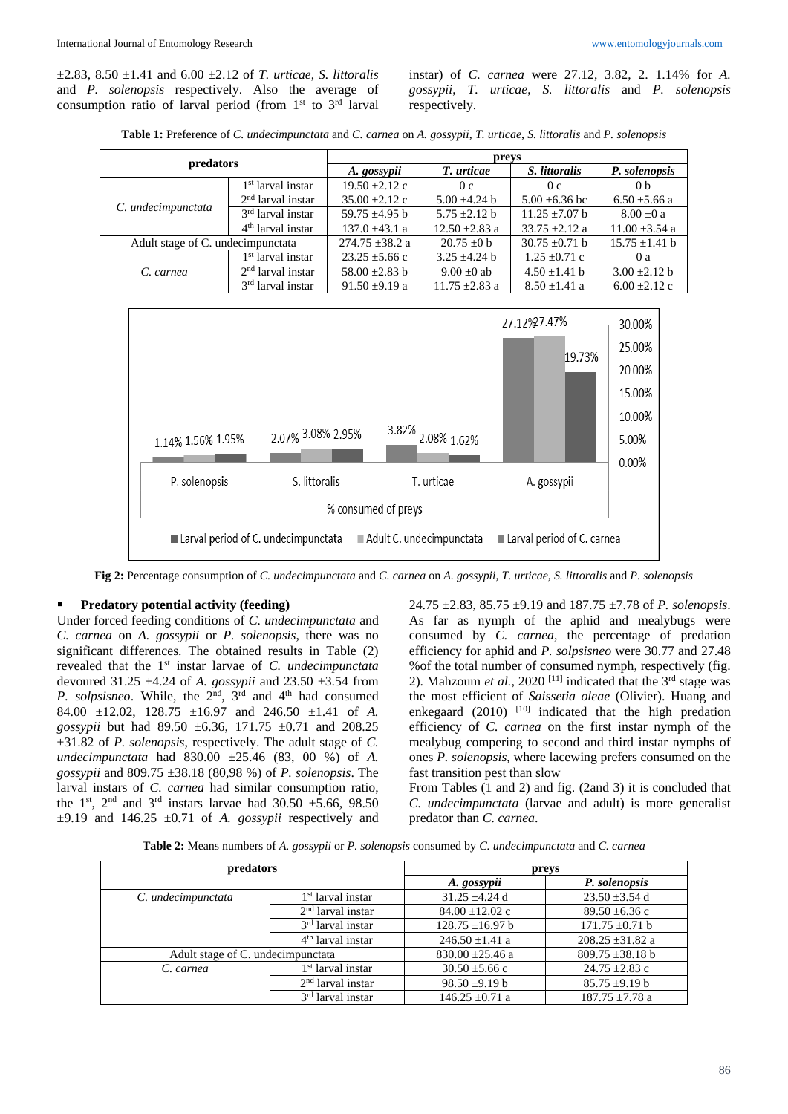±2.83, 8.50 ±1.41 and 6.00 ±2.12 of *T. urticae*, *S. littoralis*  and *P. solenopsis* respectively. Also the average of consumption ratio of larval period (from  $1<sup>st</sup>$  to  $3<sup>rd</sup>$  larval

instar) of *C. carnea* were 27.12, 3.82, 2. 1.14% for *A. gossypii*, *T. urticae*, *S. littoralis* and *P. solenopsis* respectively.

**Table 1:** Preference of *C. undecimpunctata* and *C. carnea* on *A. gossypii*, *T. urticae*, *S. littoralis* and *P. solenopsis*

| predators                         |                               | preys               |                    |                    |                    |
|-----------------------------------|-------------------------------|---------------------|--------------------|--------------------|--------------------|
|                                   |                               | A. gossypii         | T. urticae         | S. littoralis      | P. solenopsis      |
| C. undecimpunctata                | 1 <sup>st</sup> larval instar | $19.50 \pm 2.12$ c  | 0 <sub>c</sub>     | 0c                 | 0 <sub>b</sub>     |
|                                   | $2nd$ larval instar           | $35.00 + 2.12$ c    | $5.00 + 4.24$ h    | $5.00 \pm 6.36$ bc | $6.50 \pm 5.66$ a  |
|                                   | 3 <sup>rd</sup> larval instar | 59.75 $\pm$ 4.95 b  | $5.75 + 2.12$ b    | $11.25 + 7.07$ b   | $8.00 \pm 0$ a     |
|                                   | $4th$ larval instar           | $137.0 \pm 43.1 a$  | $12.50 \pm 2.83$ a | $33.75 + 2.12$ a   | $11.00 \pm 3.54$ a |
| Adult stage of C. undecimpunctata |                               | $274.75 \pm 38.2$ a | $20.75 \pm 0$ b    | $30.75 \pm 0.71$ b | $15.75 \pm 1.41$ b |
| C. carnea                         | 1 <sup>st</sup> larval instar | $23.25 \pm 5.66$ c  | $3.25 + 4.24$ h    | $1.25 \pm 0.71$ c  | 0a                 |
|                                   | $2nd$ larval instar           | 58.00 $\pm$ 2.83 b  | $9.00 \pm 0$ ab    | $4.50 \pm 1.41$ b  | $3.00 \pm 2.12 b$  |
|                                   | 3 <sup>rd</sup> larval instar | $91.50 \pm 9.19$ a  | $11.75 \pm 2.83$ a | $8.50 \pm 1.41$ a  | $6.00 \pm 2.12$ c  |



**Fig 2:** Percentage consumption of *C. undecimpunctata* and *C. carnea* on *A. gossypii, T. urticae, S. littoralis* and *P. solenopsis*

### **Predatory potential activity (feeding)**

Under forced feeding conditions of *C. undecimpunctata* and *C. carnea* on *A. gossypii* or *P. solenopsis*, there was no significant differences. The obtained results in Table (2) revealed that the 1st instar larvae of *C. undecimpunctata* devoured 31.25 ±4.24 of *A. gossypii* and 23.50 ±3.54 from *P. solpsisneo*. While, the 2<sup>nd</sup>, 3<sup>rd</sup> and 4<sup>th</sup> had consumed 84.00 ±12.02, 128.75 ±16.97 and 246.50 ±1.41 of *A. gossypii* but had 89.50 ±6.36, 171.75 ±0.71 and 208.25 ±31.82 of *P. solenopsis*, respectively. The adult stage of *C. undecimpunctata* had 830.00 ±25.46 (83, 00 %) of *A. gossypii* and 809.75 ±38.18 (80,98 %) of *P. solenopsis*. The larval instars of *C. carnea* had similar consumption ratio, the 1<sup>st</sup>, 2<sup>nd</sup> and 3<sup>rd</sup> instars larvae had 30.50  $\pm$ 5.66, 98.50  $\pm$ 9.19 and 146.25  $\pm$ 0.71 of *A. gossypii* respectively and 24.75 ±2.83, 85.75 ±9.19 and 187.75 ±7.78 of *P. solenopsis*. As far as nymph of the aphid and mealybugs were consumed by *C. carnea*, the percentage of predation efficiency for aphid and *P. solpsisneo* were 30.77 and 27.48 %of the total number of consumed nymph, respectively (fig. 2). Mahzoum *et al.*, 2020<sup>[11]</sup> indicated that the  $3<sup>rd</sup>$  stage was the most efficient of *Saissetia oleae* (Olivier). Huang and enkegaard (2010) <sup>[10]</sup> indicated that the high predation efficiency of *C. carnea* on the first instar nymph of the mealybug compering to second and third instar nymphs of ones *P. solenopsis*, where lacewing prefers consumed on the fast transition pest than slow

From Tables (1 and 2) and fig. (2and 3) it is concluded that *C. undecimpunctata* (larvae and adult) is more generalist predator than *C. carnea*.

**Table 2:** Means numbers of *A. gossypii* or *P. solenopsis* consumed by *C. undecimpunctata* and *C. carnea*

| predators                         |                               | preys                |                              |  |
|-----------------------------------|-------------------------------|----------------------|------------------------------|--|
|                                   |                               | A. gossypii          | P. solenopsis                |  |
| C. undecimpunctata                | 1 <sup>st</sup> larval instar | $31.25 \pm 4.24$ d   | $23.50 \pm 3.54$ d           |  |
|                                   | $2nd$ larval instar           | $84.00 + 12.02$ c    | $89.50 \pm 6.36$ c           |  |
|                                   | 3 <sup>rd</sup> larval instar | $128.75 \pm 16.97$ b | $171.75 \pm 0.71$ b          |  |
|                                   | 4 <sup>th</sup> larval instar | $246.50 \pm 1.41$ a  | $208.25 \pm 31.82$ a         |  |
| Adult stage of C. undecimpunctata |                               | $830.00 \pm 25.46$ a | $809.75 \pm 38.18 \text{ b}$ |  |
| C. carnea                         | 1 <sup>st</sup> larval instar | $30.50 \pm 5.66$ c   | $24.75 \pm 2.83$ c           |  |
|                                   | $2nd$ larval instar           | $98.50 \pm 9.19 b$   | $85.75 \pm 9.19 b$           |  |
|                                   | 3 <sup>rd</sup> larval instar | $146.25 \pm 0.71$ a  | $187.75 \pm 7.78$ a          |  |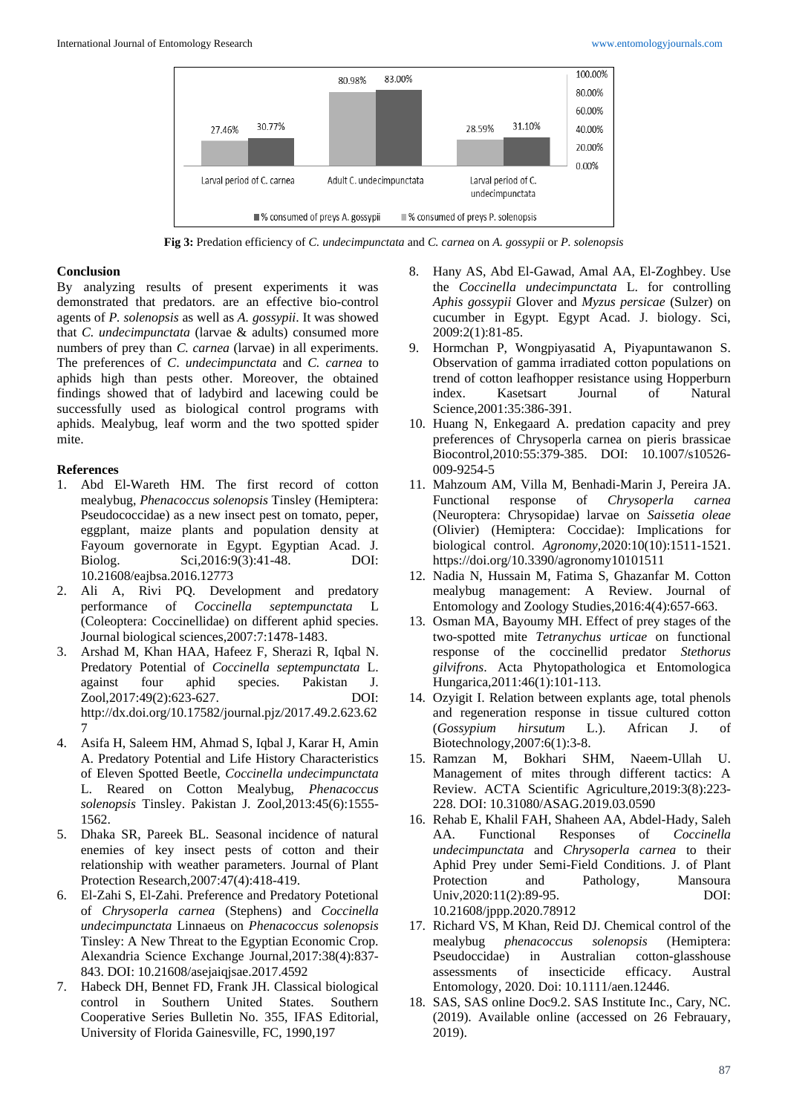

**Fig 3:** Predation efficiency of *C. undecimpunctata* and *C. carnea* on *A. gossypii* or *P. solenopsis*

#### **Conclusion**

By analyzing results of present experiments it was demonstrated that predators*.* are an effective bio-control agents of *P. solenopsis* as well as *A. gossypii*. It was showed that *C. undecimpunctata* (larvae & adults) consumed more numbers of prey than *C. carnea* (larvae) in all experiments. The preferences of *C*. *undecimpunctata* and *C. carnea* to aphids high than pests other. Moreover, the obtained findings showed that of ladybird and lacewing could be successfully used as biological control programs with aphids. Mealybug, leaf worm and the two spotted spider mite.

# **References**

- 1. Abd El-Wareth HM. The first record of cotton mealybug, *Phenacoccus solenopsis* Tinsley (Hemiptera: Pseudococcidae) as a new insect pest on tomato, peper, eggplant, maize plants and population density at Fayoum governorate in Egypt. Egyptian Acad. J. Biolog. Sci,2016:9(3):41-48. DOI: 10.21608/eajbsa.2016.12773
- 2. Ali A, Rivi PQ. Development and predatory performance of *Coccinella septempunctata* L (Coleoptera: Coccinellidae) on different aphid species. Journal biological sciences,2007:7:1478-1483.
- 3. Arshad M, Khan HAA, Hafeez F, Sherazi R, Iqbal N. Predatory Potential of *Coccinella septempunctata* L. against four aphid species. Pakistan J. Zool,2017:49(2):623-627. DOI: http://dx.doi.org/10.17582/journal.pjz/2017.49.2.623.62 7
- 4. Asifa H, Saleem HM, Ahmad S, Iqbal J, Karar H, Amin A. Predatory Potential and Life History Characteristics of Eleven Spotted Beetle, *Coccinella undecimpunctata* L. Reared on Cotton Mealybug, *Phenacoccus solenopsis* Tinsley. Pakistan J. Zool,2013:45(6):1555- 1562.
- 5. Dhaka SR, Pareek BL. Seasonal incidence of natural enemies of key insect pests of cotton and their relationship with weather parameters. Journal of Plant Protection Research,2007:47(4):418-419.
- 6. El-Zahi S, El-Zahi. Preference and Predatory Potetional of *Chrysoperla carnea* (Stephens) and *Coccinella undecimpunctata* Linnaeus on *Phenacoccus solenopsis* Tinsley: A New Threat to the Egyptian Economic Crop. Alexandria Science Exchange Journal,2017:38(4):837- 843. DOI: 10.21608/asejaiqjsae.2017.4592
- 7. Habeck DH, Bennet FD, Frank JH. Classical biological control in Southern United States. Southern Cooperative Series Bulletin No. 355, IFAS Editorial, University of Florida Gainesville, FC, 1990,197
- 8. Hany AS, Abd El-Gawad, Amal AA, El-Zoghbey. Use the *Coccinella undecimpunctata* L. for controlling *Aphis gossypii* Glover and *Myzus persicae* (Sulzer) on cucumber in Egypt. Egypt Acad. J. biology. Sci, 2009:2(1):81-85.
- 9. Hormchan P, Wongpiyasatid A, Piyapuntawanon S. Observation of gamma irradiated cotton populations on trend of cotton leafhopper resistance using Hopperburn index. Kasetsart Journal of Natural Science,2001:35:386-391.
- 10. Huang N, Enkegaard A. predation capacity and prey preferences of Chrysoperla carnea on pieris brassicae Biocontrol,2010:55:379-385. DOI: 10.1007/s10526- 009-9254-5
- 11. Mahzoum AM, Villa M, Benhadi-Marin J, Pereira JA. Functional response of *Chrysoperla carnea* (Neuroptera: Chrysopidae) larvae on *Saissetia oleae* (Olivier) (Hemiptera: Coccidae): Implications for biological control. *Agronomy,*2020:10(10):1511-1521. https://doi.org/10.3390/agronomy10101511
- 12. Nadia N, Hussain M, Fatima S, Ghazanfar M. Cotton mealybug management: A Review. Journal of Entomology and Zoology Studies,2016:4(4):657-663.
- 13. Osman MA, Bayoumy MH. Effect of prey stages of the two-spotted mite *Tetranychus urticae* on functional response of the coccinellid predator *Stethorus gilvifrons*. Acta Phytopathologica et Entomologica Hungarica,2011:46(1):101-113.
- 14. Ozyigit I. Relation between explants age, total phenols and regeneration response in tissue cultured cotton (*Gossypium hirsutum* L.). African J. of Biotechnology,2007:6(1):3-8.
- 15. Ramzan M, Bokhari SHM, Naeem-Ullah U. Management of mites through different tactics: A Review. ACTA Scientific Agriculture,2019:3(8):223- 228. DOI: 10.31080/ASAG.2019.03.0590
- 16. Rehab E, Khalil FAH, Shaheen AA, Abdel-Hady, Saleh AA. Functional Responses of *Coccinella undecimpunctata* and *Chrysoperla carnea* to their Aphid Prey under Semi-Field Conditions. J. of Plant Protection and Pathology, Mansoura Univ, 2020: 11(2): 89-95. DOI: 10.21608/jppp.2020.78912
- 17. Richard VS, M Khan, Reid DJ. Chemical control of the mealybug *phenacoccus solenopsis* (Hemiptera: in Australian cotton-glasshouse assessments of insecticide efficacy. Austral Entomology, 2020. Doi: 10.1111/aen.12446.
- 18. SAS, SAS online Doc9.2. SAS Institute Inc., Cary, NC. (2019). Available online (accessed on 26 Febrauary, 2019).